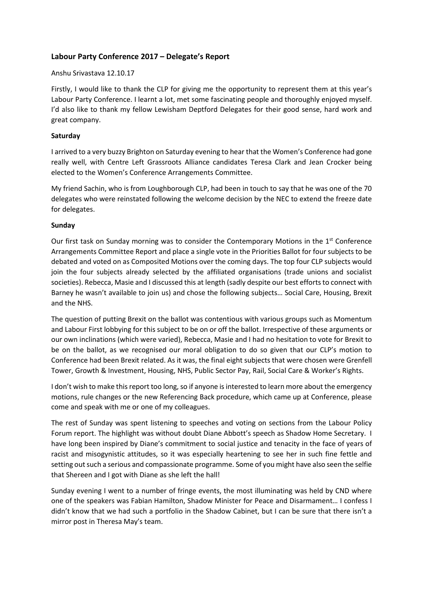# **Labour Party Conference 2017 – Delegate's Report**

#### Anshu Srivastava 12.10.17

Firstly, I would like to thank the CLP for giving me the opportunity to represent them at this year's Labour Party Conference. I learnt a lot, met some fascinating people and thoroughly enjoyed myself. I'd also like to thank my fellow Lewisham Deptford Delegates for their good sense, hard work and great company.

## **Saturday**

I arrived to a very buzzy Brighton on Saturday evening to hear that the Women's Conference had gone really well, with Centre Left Grassroots Alliance candidates Teresa Clark and Jean Crocker being elected to the Women's Conference Arrangements Committee.

My friend Sachin, who is from Loughborough CLP, had been in touch to say that he was one of the 70 delegates who were reinstated following the welcome decision by the NEC to extend the freeze date for delegates.

### **Sunday**

Our first task on Sunday morning was to consider the Contemporary Motions in the 1<sup>st</sup> Conference Arrangements Committee Report and place a single vote in the Priorities Ballot for four subjects to be debated and voted on as Composited Motions over the coming days. The top four CLP subjects would join the four subjects already selected by the affiliated organisations (trade unions and socialist societies). Rebecca, Masie and I discussed this at length (sadly despite our best efforts to connect with Barney he wasn't available to join us) and chose the following subjects… Social Care, Housing, Brexit and the NHS.

The question of putting Brexit on the ballot was contentious with various groups such as Momentum and Labour First lobbying for this subject to be on or off the ballot. Irrespective of these arguments or our own inclinations (which were varied), Rebecca, Masie and I had no hesitation to vote for Brexit to be on the ballot, as we recognised our moral obligation to do so given that our CLP's motion to Conference had been Brexit related. As it was, the final eight subjects that were chosen were Grenfell Tower, Growth & Investment, Housing, NHS, Public Sector Pay, Rail, Social Care & Worker's Rights.

I don't wish to make this report too long, so if anyone is interested to learn more about the emergency motions, rule changes or the new Referencing Back procedure, which came up at Conference, please come and speak with me or one of my colleagues.

The rest of Sunday was spent listening to speeches and voting on sections from the Labour Policy Forum report. The highlight was without doubt Diane Abbott's speech as Shadow Home Secretary. I have long been inspired by Diane's commitment to social justice and tenacity in the face of years of racist and misogynistic attitudes, so it was especially heartening to see her in such fine fettle and setting out such a serious and compassionate programme. Some of you might have also seen the selfie that Shereen and I got with Diane as she left the hall!

Sunday evening I went to a number of fringe events, the most illuminating was held by CND where one of the speakers was Fabian Hamilton, Shadow Minister for Peace and Disarmament… I confess I didn't know that we had such a portfolio in the Shadow Cabinet, but I can be sure that there isn't a mirror post in Theresa May's team.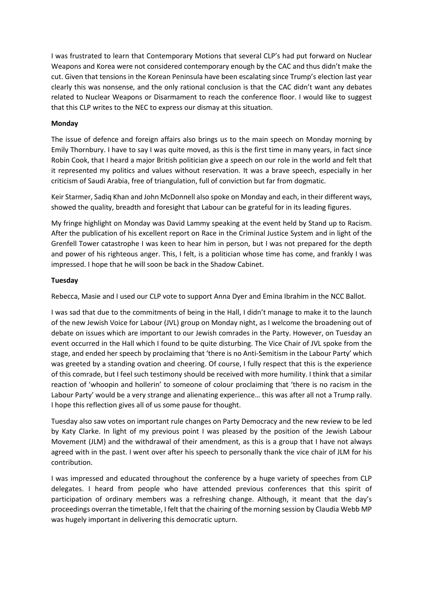I was frustrated to learn that Contemporary Motions that several CLP's had put forward on Nuclear Weapons and Korea were not considered contemporary enough by the CAC and thus didn't make the cut. Given that tensions in the Korean Peninsula have been escalating since Trump's election last year clearly this was nonsense, and the only rational conclusion is that the CAC didn't want any debates related to Nuclear Weapons or Disarmament to reach the conference floor. I would like to suggest that this CLP writes to the NEC to express our dismay at this situation.

## **Monday**

The issue of defence and foreign affairs also brings us to the main speech on Monday morning by Emily Thornbury. I have to say I was quite moved, as this is the first time in many years, in fact since Robin Cook, that I heard a major British politician give a speech on our role in the world and felt that it represented my politics and values without reservation. It was a brave speech, especially in her criticism of Saudi Arabia, free of triangulation, full of conviction but far from dogmatic.

Keir Starmer, Sadiq Khan and John McDonnell also spoke on Monday and each, in their different ways, showed the quality, breadth and foresight that Labour can be grateful for in its leading figures.

My fringe highlight on Monday was David Lammy speaking at the event held by Stand up to Racism. After the publication of his excellent report on Race in the Criminal Justice System and in light of the Grenfell Tower catastrophe I was keen to hear him in person, but I was not prepared for the depth and power of his righteous anger. This, I felt, is a politician whose time has come, and frankly I was impressed. I hope that he will soon be back in the Shadow Cabinet.

### **Tuesday**

Rebecca, Masie and I used our CLP vote to support Anna Dyer and Emina Ibrahim in the NCC Ballot.

I was sad that due to the commitments of being in the Hall, I didn't manage to make it to the launch of the new Jewish Voice for Labour (JVL) group on Monday night, as I welcome the broadening out of debate on issues which are important to our Jewish comrades in the Party. However, on Tuesday an event occurred in the Hall which I found to be quite disturbing. The Vice Chair of JVL spoke from the stage, and ended her speech by proclaiming that 'there is no Anti-Semitism in the Labour Party' which was greeted by a standing ovation and cheering. Of course, I fully respect that this is the experience of this comrade, but I feel such testimony should be received with more humility. I think that a similar reaction of 'whoopin and hollerin' to someone of colour proclaiming that 'there is no racism in the Labour Party' would be a very strange and alienating experience… this was after all not a Trump rally. I hope this reflection gives all of us some pause for thought.

Tuesday also saw votes on important rule changes on Party Democracy and the new review to be led by Katy Clarke. In light of my previous point I was pleased by the position of the Jewish Labour Movement (JLM) and the withdrawal of their amendment, as this is a group that I have not always agreed with in the past. I went over after his speech to personally thank the vice chair of JLM for his contribution.

I was impressed and educated throughout the conference by a huge variety of speeches from CLP delegates. I heard from people who have attended previous conferences that this spirit of participation of ordinary members was a refreshing change. Although, it meant that the day's proceedings overran the timetable, I felt that the chairing of the morning session by Claudia Webb MP was hugely important in delivering this democratic upturn.